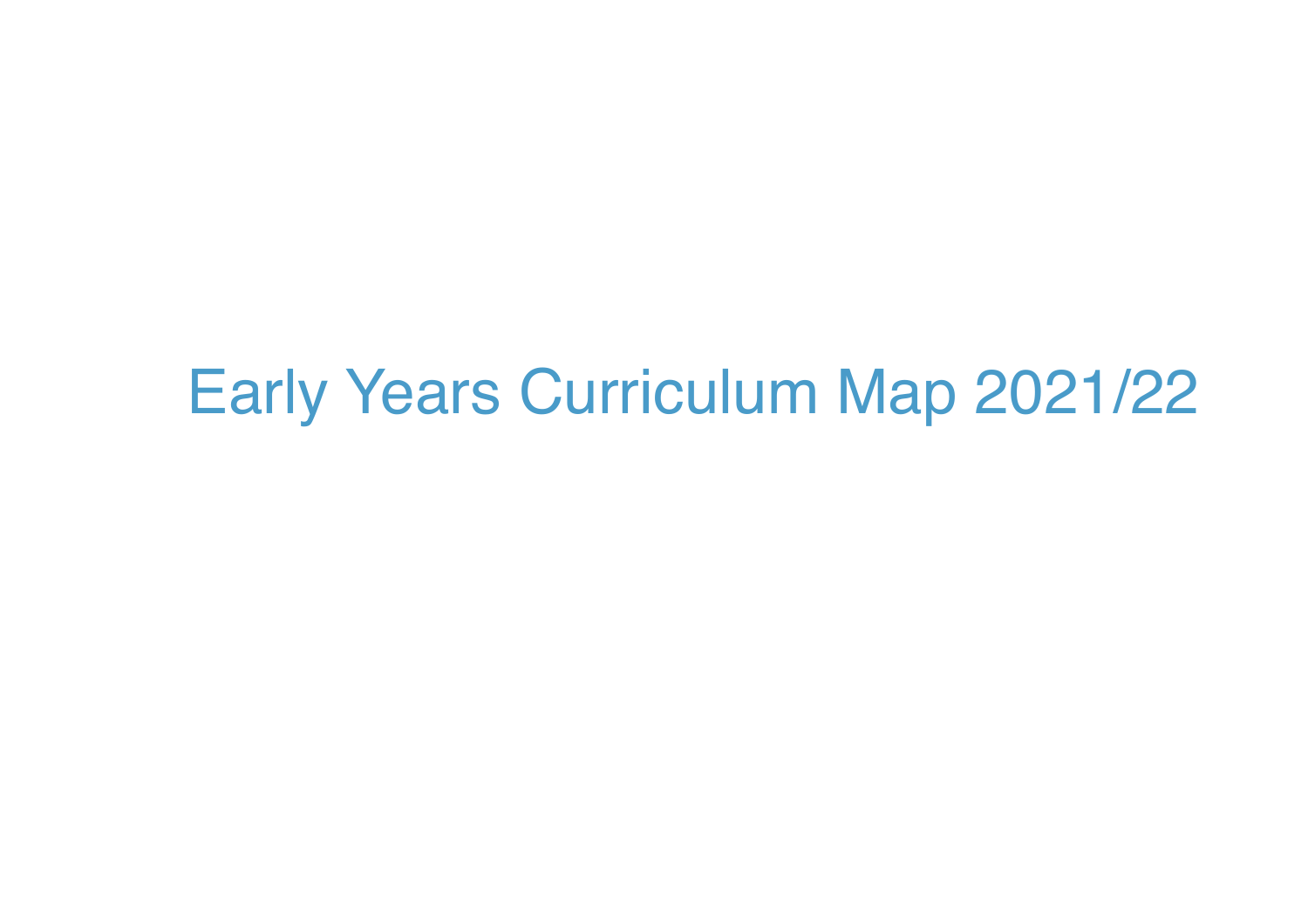# Early Years Curriculum Map 2021/22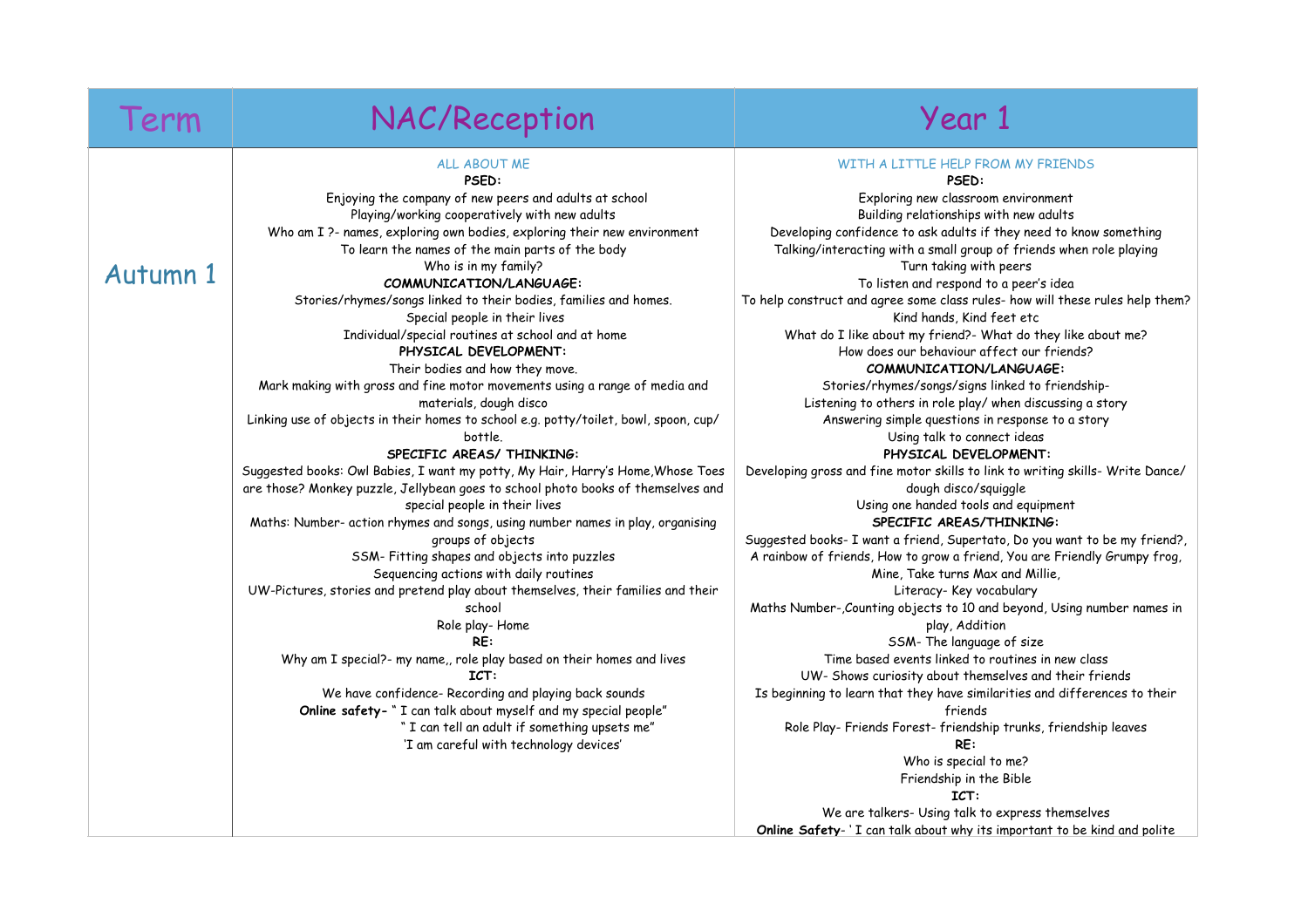#### Term NAC/Reception Term Year 1 Autumn 1 ALL ABOUT ME **PSED:** Enjoying the company of new peers and adults at school Playing/working cooperatively with new adults Who am I ?- names, exploring own bodies, exploring their new environment To learn the names of the main parts of the body Who is in my family? **COMMUNICATION/LANGUAGE:**  Stories/rhymes/songs linked to their bodies, families and homes. Special people in their lives Individual/special routines at school and at home **PHYSICAL DEVELOPMENT:** Their bodies and how they move. Mark making with gross and fine motor movements using a range of media and materials, dough disco Linking use of objects in their homes to school e.g. potty/toilet, bowl, spoon, cup/ bottle. **SPECIFIC AREAS/ THINKING:** Suggested books: Owl Babies, I want my potty, My Hair, Harry's Home,Whose Toes are those? Monkey puzzle, Jellybean goes to school photo books of themselves and special people in their lives Maths: Number- action rhymes and songs, using number names in play, organising groups of objects SSM- Fitting shapes and objects into puzzles Sequencing actions with daily routines UW-Pictures, stories and pretend play about themselves, their families and their school Role play- Home **RE:** Why am I special?- my name,, role play based on their homes and lives **ICT:** We have confidence- Recording and playing back sounds **Online safety-** " I can talk about myself and my special people" " I can tell an adult if something upsets me" 'I am careful with technology devices' WITH A LITTLE HELP FROM MY FRIENDS **PSED:** Exploring new classroom environment Building relationships with new adults Developing confidence to ask adults if they need to know something Talking/interacting with a small group of friends when role playing Turn taking with peers To listen and respond to a peer's idea To help construct and agree some class rules- how will these rules help them? Kind hands, Kind feet etc What do I like about my friend?- What do they like about me? How does our behaviour affect our friends? **COMMUNICATION/LANGUAGE:**  Stories/rhymes/songs/signs linked to friendship-Listening to others in role play/ when discussing a story Answering simple questions in response to a story Using talk to connect ideas **PHYSICAL DEVELOPMENT:** Developing gross and fine motor skills to link to writing skills- Write Dance/ dough disco/squiggle Using one handed tools and equipment **SPECIFIC AREAS/THINKING:** Suggested books- I want a friend, Supertato, Do you want to be my friend?, A rainbow of friends, How to grow a friend, You are Friendly Grumpy frog, Mine, Take turns Max and Millie, Literacy- Key vocabulary Maths Number-,Counting objects to 10 and beyond, Using number names in play, Addition SSM- The language of size Time based events linked to routines in new class UW- Shows curiosity about themselves and their friends Is beginning to learn that they have similarities and differences to their friends Role Play- Friends Forest- friendship trunks, friendship leaves **RE:** Who is special to me? Friendship in the Bible **ICT:** We are talkers- Using talk to express themselves **Online Safety**- ' I can talk about why its important to be kind and polite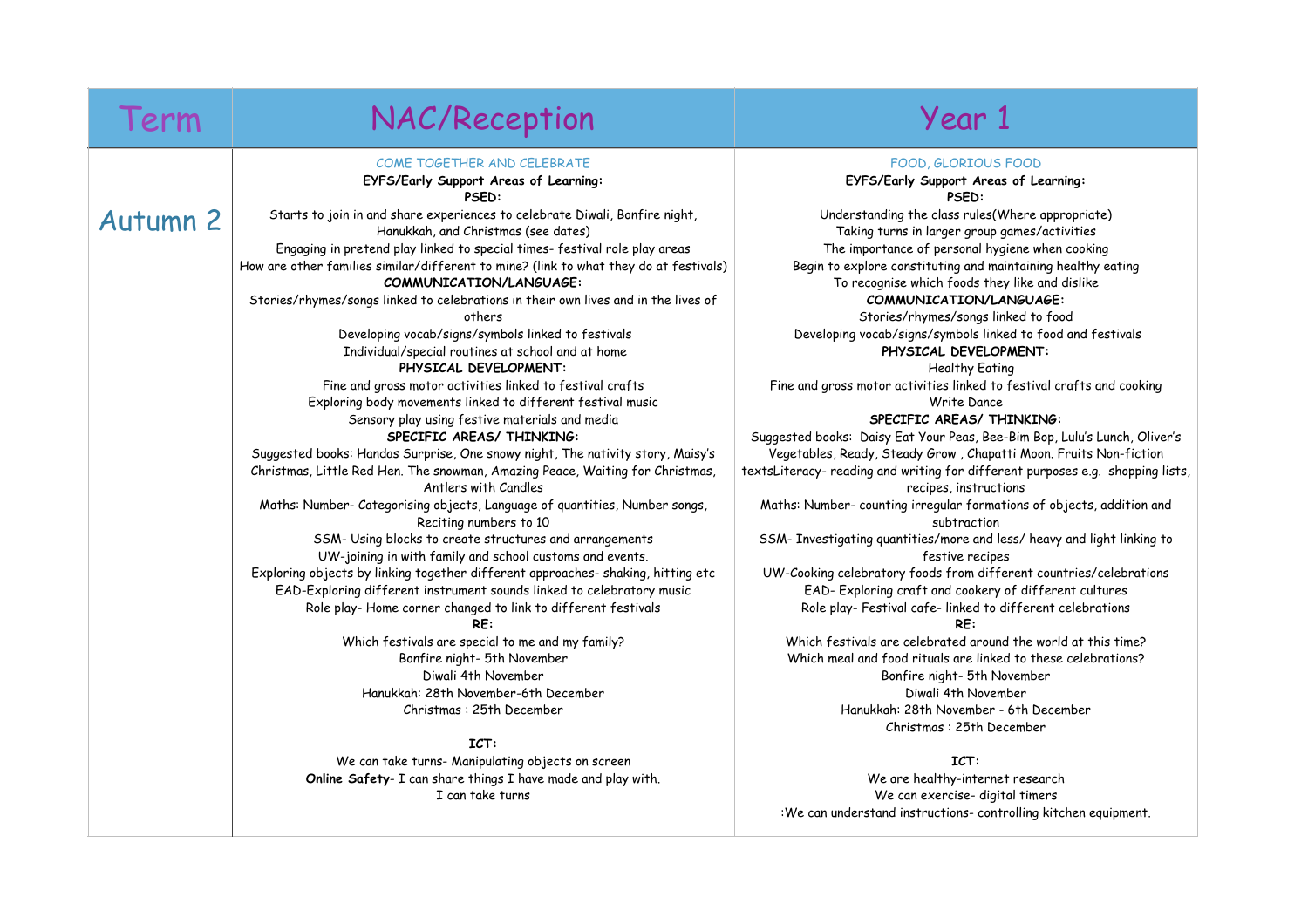Autumn 2

## Term NAC/Reception Term Year 1

#### COME TOGETHER AND CELEBRATE

#### **EYFS/Early Support Areas of Learning: PSED:**

Starts to join in and share experiences to celebrate Diwali, Bonfire night, Hanukkah, and Christmas (see dates) Engaging in pretend play linked to special times- festival role play areas How are other families similar/different to mine? (link to what they do at festivals)

**COMMUNICATION/LANGUAGE:** 

Stories/rhymes/songs linked to celebrations in their own lives and in the lives of others

> Developing vocab/signs/symbols linked to festivals Individual/special routines at school and at home **PHYSICAL DEVELOPMENT:**

Fine and gross motor activities linked to festival crafts Exploring body movements linked to different festival music Sensory play using festive materials and media **SPECIFIC AREAS/ THINKING:**

Suggested books: Handas Surprise, One snowy night, The nativity story, Maisy's Christmas, Little Red Hen. The snowman, Amazing Peace, Waiting for Christmas, Antlers with Candles

Maths: Number- Categorising objects, Language of quantities, Number songs, Reciting numbers to 10

SSM- Using blocks to create structures and arrangements UW-joining in with family and school customs and events. Exploring objects by linking together different approaches- shaking, hitting etc EAD-Exploring different instrument sounds linked to celebratory music Role play- Home corner changed to link to different festivals

**RE:**

Which festivals are special to me and my family? Bonfire night- 5th November Diwali 4th November Hanukkah: 28th November-6th December Christmas : 25th December

### **ICT:**

We can take turns- Manipulating objects on screen **Online Safety**- I can share things I have made and play with. I can take turns

### FOOD, GLORIOUS FOOD

**EYFS/Early Support Areas of Learning: PSED:**

Understanding the class rules(Where appropriate) Taking turns in larger group games/activities The importance of personal hygiene when cooking Begin to explore constituting and maintaining healthy eating To recognise which foods they like and dislike **COMMUNICATION/LANGUAGE:** 

Stories/rhymes/songs linked to food Developing vocab/signs/symbols linked to food and festivals **PHYSICAL DEVELOPMENT:**

Healthy Eating

Fine and gross motor activities linked to festival crafts and cooking Write Dance

### **SPECIFIC AREAS/ THINKING:**

Suggested books: Daisy Eat Your Peas, Bee-Bim Bop, Lulu's Lunch, Oliver's Vegetables, Ready, Steady Grow , Chapatti Moon. Fruits Non-fiction textsLiteracy- reading and writing for different purposes e.g. shopping lists, recipes, instructions

Maths: Number- counting irregular formations of objects, addition and subtraction

SSM- Investigating quantities/more and less/ heavy and light linking to festive recipes

UW-Cooking celebratory foods from different countries/celebrations EAD- Exploring craft and cookery of different cultures Role play- Festival cafe- linked to different celebrations

#### **RE:**

Which festivals are celebrated around the world at this time? Which meal and food rituals are linked to these celebrations? Bonfire night- 5th November Diwali 4th November Hanukkah: 28th November - 6th December Christmas : 25th December

### **ICT:**

We are healthy-internet research We can exercise- digital timers :We can understand instructions- controlling kitchen equipment.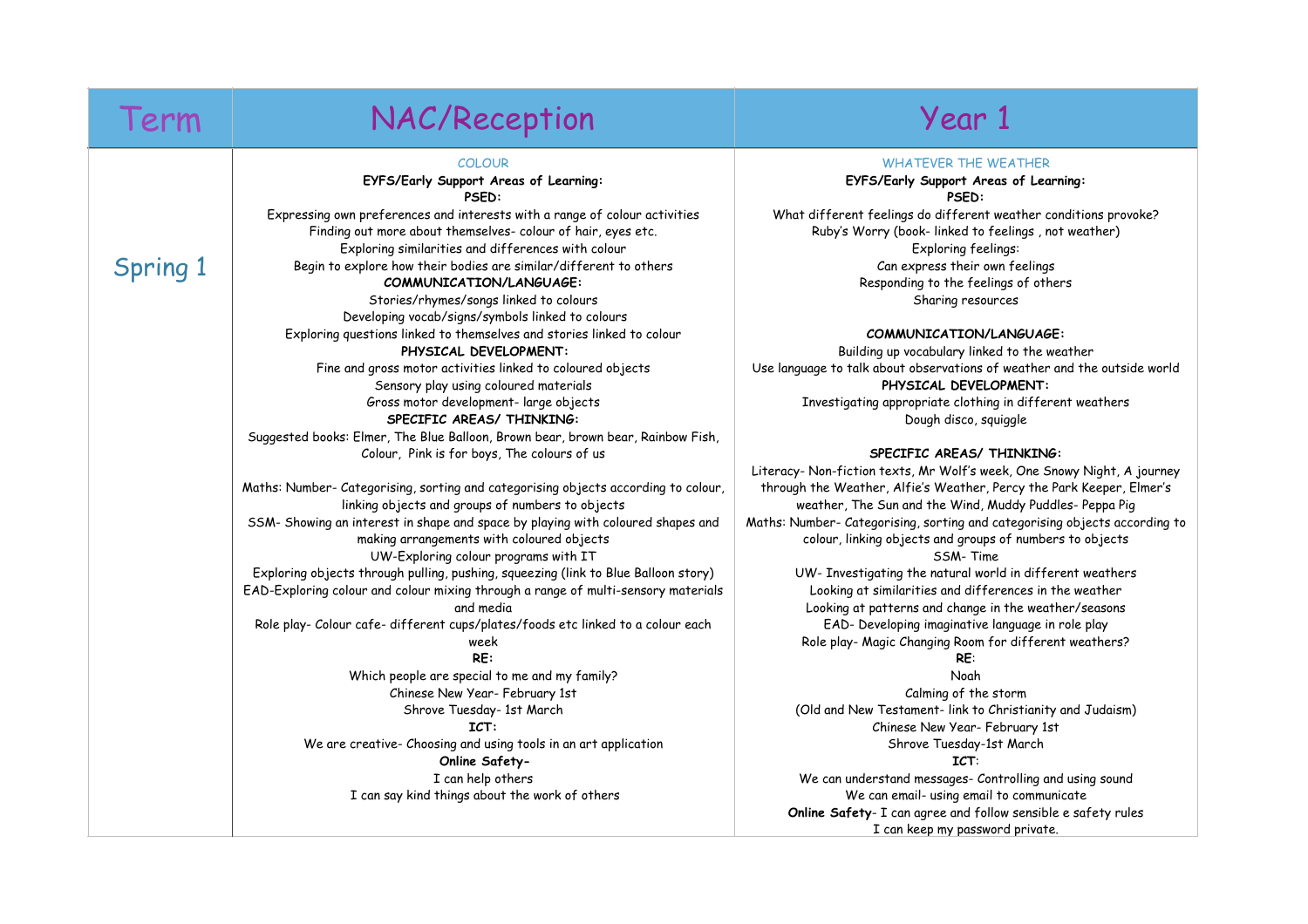## Term NAC/Reception Term Year 1

#### COLOUR

#### **EYFS/Early Support Areas of Learning: PSED:**

Expressing own preferences and interests with a range of colour activities Finding out more about themselves- colour of hair, eyes etc. Exploring similarities and differences with colour Begin to explore how their bodies are similar/different to others **COMMUNICATION/LANGUAGE:**  Stories/rhymes/songs linked to colours Developing vocab/signs/symbols linked to colours Exploring questions linked to themselves and stories linked to colour **PHYSICAL DEVELOPMENT:** Fine and gross motor activities linked to coloured objects Sensory play using coloured materials

Gross motor development- large objects **SPECIFIC AREAS/ THINKING:** Suggested books: Elmer, The Blue Balloon, Brown bear, brown bear, Rainbow Fish,

Colour, Pink is for boys, The colours of us

Maths: Number- Categorising, sorting and categorising objects according to colour, linking objects and groups of numbers to objects SSM- Showing an interest in shape and space by playing with coloured shapes and making arrangements with coloured objects UW-Exploring colour programs with IT Exploring objects through pulling, pushing, squeezing (link to Blue Balloon story) EAD-Exploring colour and colour mixing through a range of multi-sensory materials and media Role play- Colour cafe- different cups/plates/foods etc linked to a colour each week **RE:** Which people are special to me and my family? Chinese New Year- February 1st Shrove Tuesday- 1st March **ICT:**

> We are creative- Choosing and using tools in an art application **Online Safety-**I can help others I can say kind things about the work of others

#### WHATEVER THE WEATHER

**EYFS/Early Support Areas of Learning: PSED:**

What different feelings do different weather conditions provoke? Ruby's Worry (book- linked to feelings , not weather) Exploring feelings: Can express their own feelings Responding to the feelings of others Sharing resources

#### **COMMUNICATION/LANGUAGE:**

Building up vocabulary linked to the weather Use language to talk about observations of weather and the outside world **PHYSICAL DEVELOPMENT:** Investigating appropriate clothing in different weathers Dough disco, squiggle

#### **SPECIFIC AREAS/ THINKING:**

Literacy- Non-fiction texts, Mr Wolf's week, One Snowy Night, A journey through the Weather, Alfie's Weather, Percy the Park Keeper, Elmer's weather, The Sun and the Wind, Muddy Puddles- Peppa Pig Maths: Number- Categorising, sorting and categorising objects according to colour, linking objects and groups of numbers to objects SSM- Time

UW- Investigating the natural world in different weathers Looking at similarities and differences in the weather Looking at patterns and change in the weather/seasons EAD- Developing imaginative language in role play Role play- Magic Changing Room for different weathers?

#### **RE**:

Noah Calming of the storm (Old and New Testament- link to Christianity and Judaism) Chinese New Year- February 1st Shrove Tuesday-1st March

#### **ICT**:

We can understand messages- Controlling and using sound We can email- using email to communicate **Online Safety**- I can agree and follow sensible e safety rules I can keep my password private.

## Spring 1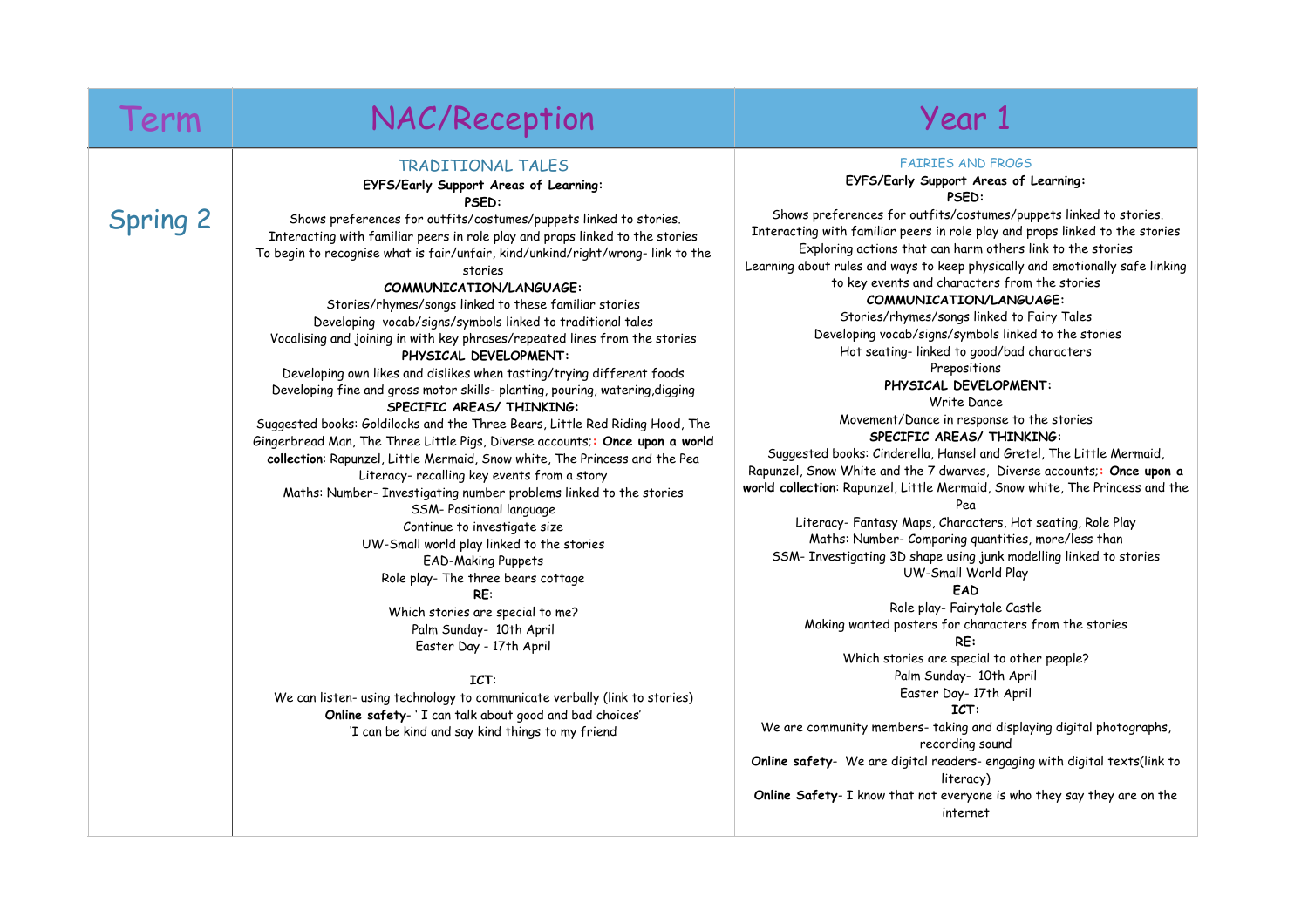Spring 2

## Term NAC/Reception Term Year 1

## TRADITIONAL TALES

#### **EYFS/Early Support Areas of Learning: PSED:**

 Shows preferences for outfits/costumes/puppets linked to stories. Interacting with familiar peers in role play and props linked to the stories To begin to recognise what is fair/unfair, kind/unkind/right/wrong- link to the stories

#### **COMMUNICATION/LANGUAGE:**

Stories/rhymes/songs linked to these familiar stories Developing vocab/signs/symbols linked to traditional tales Vocalising and joining in with key phrases/repeated lines from the stories  **PHYSICAL DEVELOPMENT:**

Developing own likes and dislikes when tasting/trying different foods Developing fine and gross motor skills- planting, pouring, watering,digging **SPECIFIC AREAS/ THINKING:**

Suggested books: Goldilocks and the Three Bears, Little Red Riding Hood, The Gingerbread Man, The Three Little Pigs, Diverse accounts;**: Once upon a world collection**: Rapunzel, Little Mermaid, Snow white, The Princess and the Pea Literacy- recalling key events from a story Maths: Number- Investigating number problems linked to the stories

SSM- Positional language Continue to investigate size UW-Small world play linked to the stories EAD-Making Puppets Role play- The three bears cottage

**RE**:

Which stories are special to me? Palm Sunday- 10th April Easter Day - 17th April

#### **ICT**:

We can listen- using technology to communicate verbally (link to stories) **Online safety**- ' I can talk about good and bad choices' 'I can be kind and say kind things to my friend

#### FAIRIES AND FROGS

#### **EYFS/Early Support Areas of Learning: PSED:**

 Shows preferences for outfits/costumes/puppets linked to stories. Interacting with familiar peers in role play and props linked to the stories Exploring actions that can harm others link to the stories Learning about rules and ways to keep physically and emotionally safe linking to key events and characters from the stories

#### **COMMUNICATION/LANGUAGE:**

Stories/rhymes/songs linked to Fairy Tales Developing vocab/signs/symbols linked to the stories Hot seating- linked to good/bad characters

Prepositions

 **PHYSICAL DEVELOPMENT:** Write Dance Movement/Dance in response to the stories

#### **SPECIFIC AREAS/ THINKING:**

Suggested books: Cinderella, Hansel and Gretel, The Little Mermaid, Rapunzel, Snow White and the 7 dwarves, Diverse accounts;**: Once upon a world collection**: Rapunzel, Little Mermaid, Snow white, The Princess and the

Pea

Literacy- Fantasy Maps, Characters, Hot seating, Role Play Maths: Number- Comparing quantities, more/less than SSM- Investigating 3D shape using junk modelling linked to stories UW-Small World Play

**EAD**

Role play- Fairytale Castle Making wanted posters for characters from the stories **RE:** Which stories are special to other people?

Palm Sunday- 10th April Easter Day- 17th April

#### **ICT:**

We are community members- taking and displaying digital photographs, recording sound **Online safety**- We are digital readers- engaging with digital texts(link to literacy) **Online Safety**- I know that not everyone is who they say they are on the internet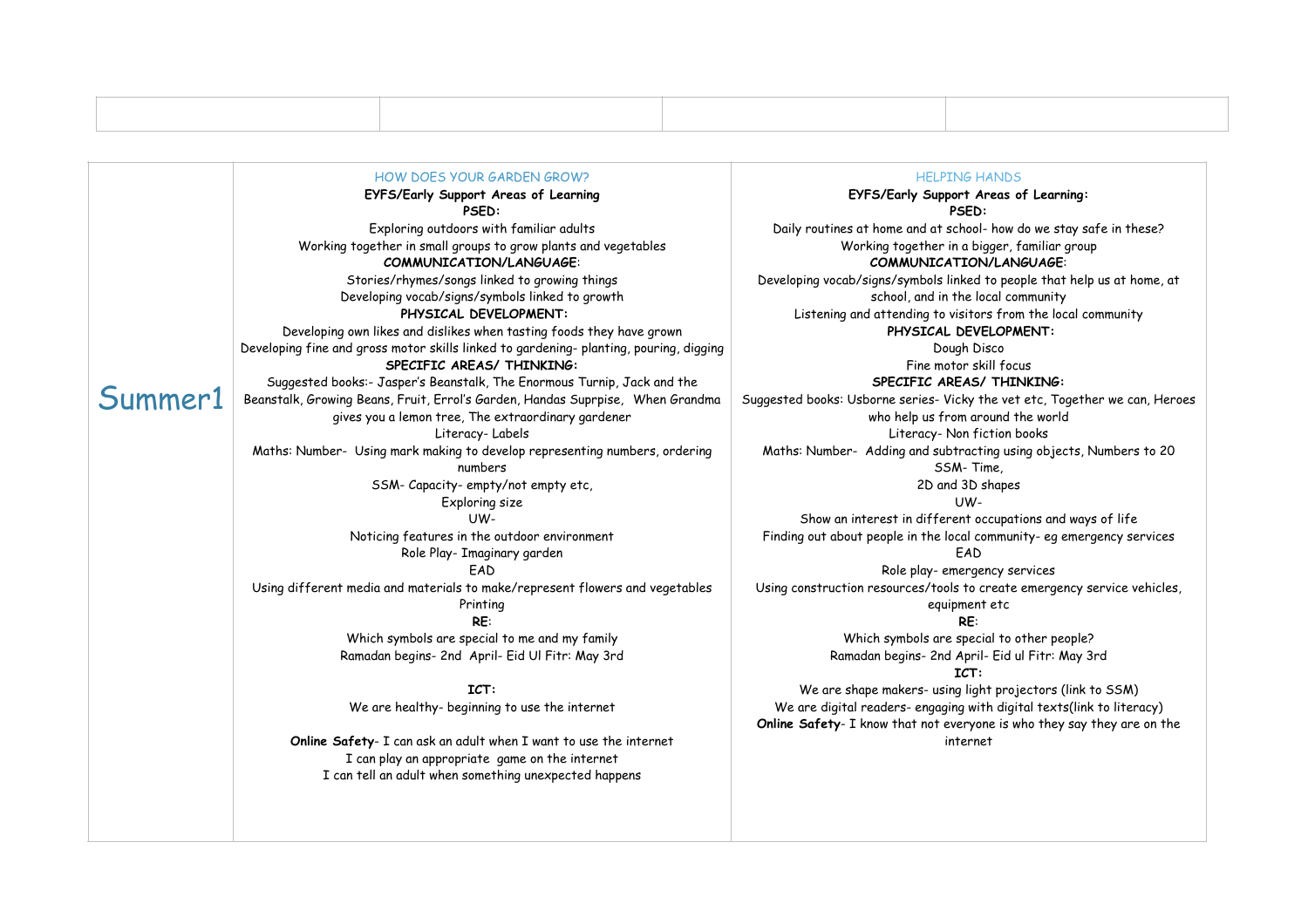|         | HOW DOFS YOUR GARDEN GROW?<br>EYFS/Early Support Areas of Learning<br><b>PSED:</b>              | <b>HELPING HANDS</b><br>EYFS/Early Support Areas of Learning:<br><b>PSED:</b>                                                                    |
|---------|-------------------------------------------------------------------------------------------------|--------------------------------------------------------------------------------------------------------------------------------------------------|
|         | Exploring outdoors with familiar adults                                                         | Daily routines at home and at school- how do we stay safe in these?                                                                              |
|         | Working together in small groups to grow plants and vegetables<br>COMMUNICATION/LANGUAGE:       | Working together in a bigger, familiar group<br>COMMUNICATION/LANGUAGE:                                                                          |
|         | Stories/rhymes/songs linked to growing things                                                   | Developing vocab/signs/symbols linked to people that help us at home, at                                                                         |
|         | Developing vocab/signs/symbols linked to growth                                                 | school, and in the local community                                                                                                               |
|         | PHYSICAL DEVELOPMENT:                                                                           | Listening and attending to visitors from the local community                                                                                     |
|         | Developing own likes and dislikes when tasting foods they have grown                            | PHYSICAL DEVELOPMENT:                                                                                                                            |
|         | Developing fine and gross motor skills linked to gardening- planting, pouring, digging          | Dough Disco                                                                                                                                      |
| Summer1 | SPECIFIC AREAS/ THINKING:                                                                       | Fine motor skill focus                                                                                                                           |
|         |                                                                                                 | SPECIFIC AREAS/ THINKING:                                                                                                                        |
|         | Suggested books:- Jasper's Beanstalk, The Enormous Turnip, Jack and the                         |                                                                                                                                                  |
|         | Beanstalk, Growing Beans, Fruit, Errol's Garden, Handas Suprpise, When Grandma                  | Suggested books: Usborne series- Vicky the vet etc, Together we can, Heroes                                                                      |
|         | gives you a lemon tree, The extraordinary gardener                                              | who help us from around the world                                                                                                                |
|         | Literacy-Labels                                                                                 | Literacy- Non fiction books                                                                                                                      |
|         | Maths: Number- Using mark making to develop representing numbers, ordering                      | Maths: Number- Adding and subtracting using objects, Numbers to 20                                                                               |
|         | numbers                                                                                         | SSM-Time.                                                                                                                                        |
|         | SSM-Capacity-empty/not empty etc,                                                               | 2D and 3D shapes                                                                                                                                 |
|         | Exploring size                                                                                  | $UW -$                                                                                                                                           |
|         | UW-                                                                                             | Show an interest in different occupations and ways of life                                                                                       |
|         | Noticing features in the outdoor environment<br>Role Play- Imaginary garden                     | Finding out about people in the local community- eg emergency services<br>FAD                                                                    |
|         | FAD                                                                                             | Role play-emergency services                                                                                                                     |
|         | Using different media and materials to make/represent flowers and vegetables<br>Printing<br>RE: | Using construction resources/tools to create emergency service vehicles,<br>equipment etc<br>RE:                                                 |
|         | Which symbols are special to me and my family                                                   |                                                                                                                                                  |
|         | Ramadan begins- 2nd April- Eid Ul Fitr: May 3rd                                                 | Which symbols are special to other people?<br>Ramadan begins- 2nd April- Eid ul Fitr: May 3rd<br>ICT:                                            |
|         | ICT:                                                                                            | We are shape makers- using light projectors (link to SSM)                                                                                        |
|         | We are healthy- beginning to use the internet                                                   | We are digital readers- engaging with digital texts(link to literacy)<br>Online Safety- I know that not everyone is who they say they are on the |
|         | Online Safety- I can ask an adult when I want to use the internet                               | internet                                                                                                                                         |
|         | I can play an appropriate game on the internet                                                  |                                                                                                                                                  |
|         | I can tell an adult when something unexpected happens                                           |                                                                                                                                                  |